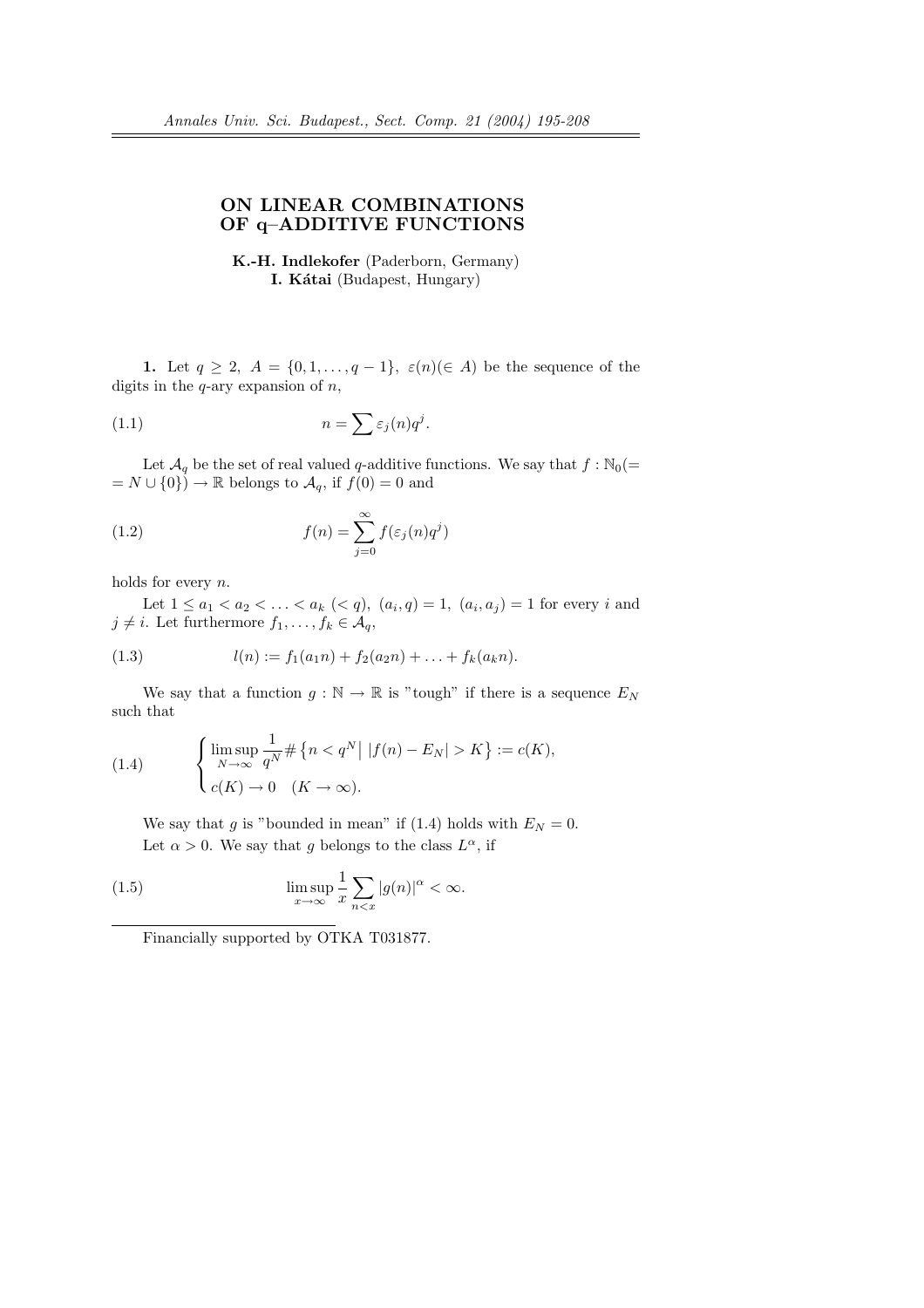## ON LINEAR COMBINATIONS OF q–ADDITIVE FUNCTIONS

K.-H. Indlekofer (Paderborn, Germany) I. Kátai (Budapest, Hungary)

1. Let  $q \geq 2$ ,  $A = \{0, 1, \ldots, q-1\}$ ,  $\varepsilon(n) (\in A)$  be the sequence of the digits in the  $q$ -ary expansion of  $n$ ,

(1.1) 
$$
n = \sum \varepsilon_j(n) q^j.
$$

Let  $\mathcal{A}_q$  be the set of real valued q-additive functions. We say that  $f : \mathbb{N}_0(=$  $= N \cup \{0\}$  → R belongs to  $\mathcal{A}_q$ , if  $f(0) = 0$  and

(1.2) 
$$
f(n) = \sum_{j=0}^{\infty} f(\varepsilon_j(n)q^j)
$$

holds for every n.

Let  $1 \le a_1 < a_2 < \ldots < a_k \ (< q$ ),  $(a_i, q) = 1$ ,  $(a_i, a_j) = 1$  for every i and  $j \neq i$ . Let furthermore  $f_1, \ldots, f_k \in A_q$ ,

(1.3) 
$$
l(n) := f_1(a_1n) + f_2(a_2n) + \ldots + f_k(a_kn).
$$

We say that a function  $g : \mathbb{N} \to \mathbb{R}$  is "tough" if there is a sequence  $E_N$ such that

(1.4) 
$$
\begin{cases} \limsup_{N \to \infty} \frac{1}{q^N} \# \{n < q^N \mid |f(n) - E_N| > K \} := c(K), \\ c(K) \to 0 \quad (K \to \infty). \end{cases}
$$

We say that g is "bounded in mean" if (1.4) holds with  $E<sub>N</sub> = 0$ . Let  $\alpha > 0$ . We say that g belongs to the class  $L^{\alpha}$ , if

(1.5) 
$$
\limsup_{x \to \infty} \frac{1}{x} \sum_{n < x} |g(n)|^{\alpha} < \infty.
$$

Financially supported by OTKA T031877.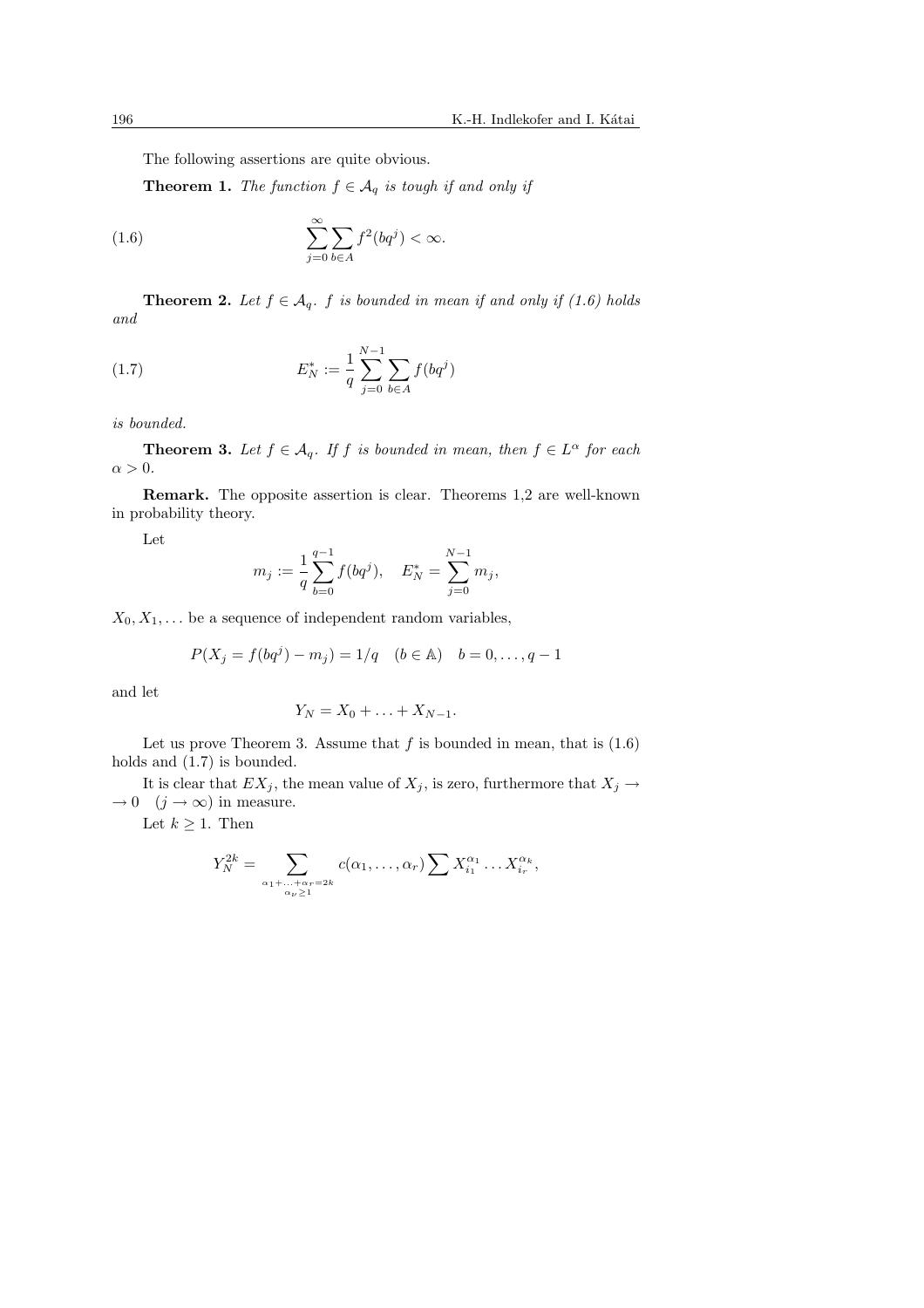The following assertions are quite obvious.

**Theorem 1.** The function  $f \in A_q$  is tough if and only if

(1.6) 
$$
\sum_{j=0}^{\infty} \sum_{b \in A} f^2(bq^j) < \infty.
$$

**Theorem 2.** Let  $f \in A_q$ . f is bounded in mean if and only if (1.6) holds and

(1.7) 
$$
E_N^* := \frac{1}{q} \sum_{j=0}^{N-1} \sum_{b \in A} f(bq^j)
$$

is bounded.

**Theorem 3.** Let  $f \in \mathcal{A}_q$ . If f is bounded in mean, then  $f \in L^{\alpha}$  for each  $\alpha > 0$ .

Remark. The opposite assertion is clear. Theorems 1,2 are well-known in probability theory.

Let

$$
m_j := \frac{1}{q} \sum_{b=0}^{q-1} f(bq^j), \quad E_N^* = \sum_{j=0}^{N-1} m_j,
$$

 $X_0, X_1, \ldots$  be a sequence of independent random variables,

$$
P(X_j = f(bq^j) - m_j) = 1/q \quad (b \in \mathbb{A}) \quad b = 0, \dots, q - 1
$$

and let

$$
Y_N=X_0+\ldots+X_{N-1}.
$$

Let us prove Theorem 3. Assume that  $f$  is bounded in mean, that is  $(1.6)$ holds and  $(1.7)$  is bounded.

It is clear that  $EX_j$ , the mean value of  $X_j$ , is zero, furthermore that  $X_j \to$  $\rightarrow 0 \quad (j \rightarrow \infty)$  in measure.

Let  $k \geq 1$ . Then

$$
Y_N^{2k} = \sum_{\substack{\alpha_1 + \ldots + \alpha_r = 2k \\ \alpha_{\nu} \ge 1}} c(\alpha_1, \ldots, \alpha_r) \sum X_{i_1}^{\alpha_1} \ldots X_{i_r}^{\alpha_k},
$$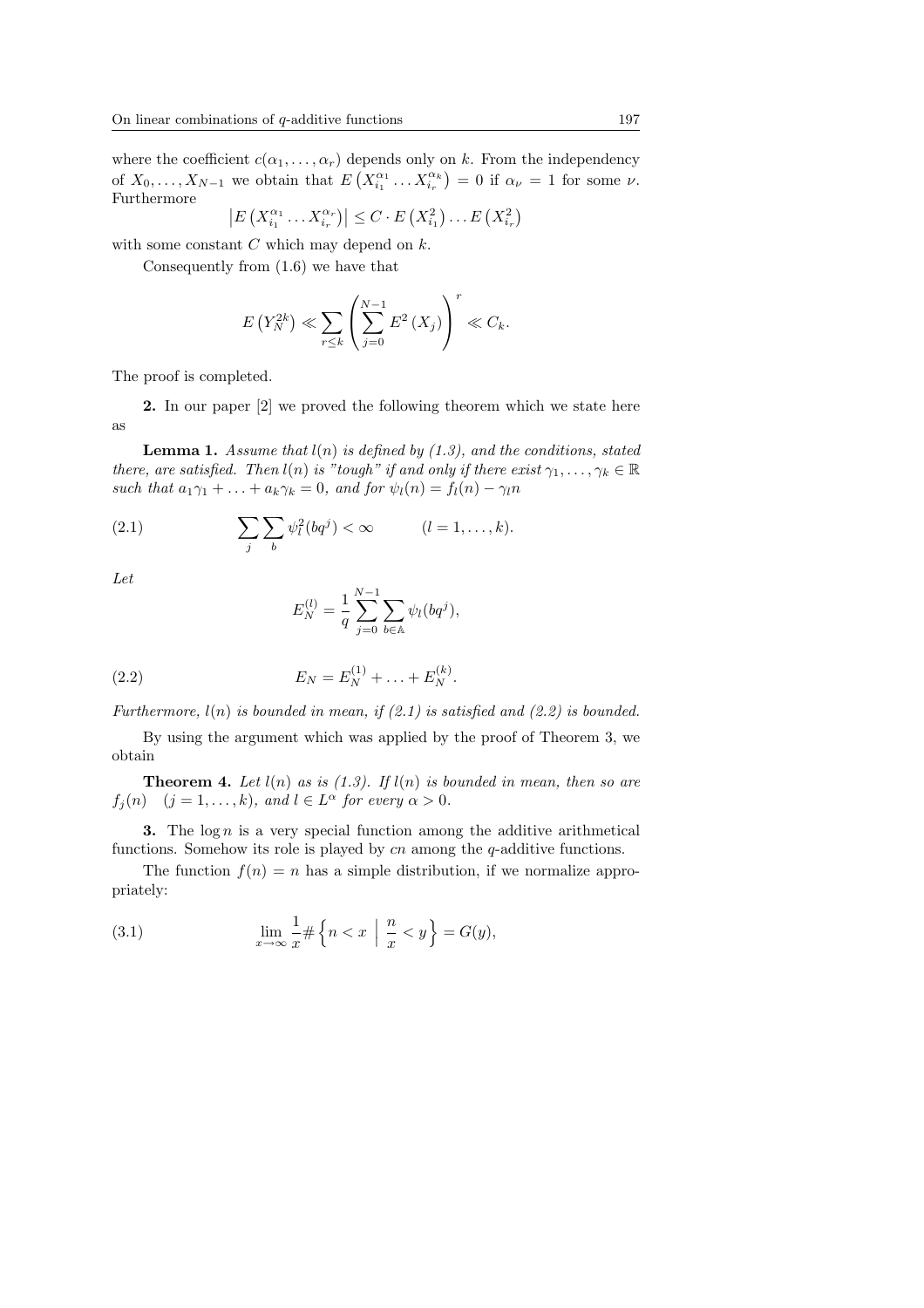where the coefficient  $c(\alpha_1, \ldots, \alpha_r)$  depends only on k. From the independency of  $X_0, \ldots, X_{N-1}$  we obtain that  $E(X_{i_1}^{\alpha_1} \ldots X_{i_r}^{\alpha_k}) = 0$  if  $\alpha_{\nu} = 1$  for some  $\nu$ . Furthermore  $\overline{a}$ ¡  $\frac{1}{2}$ ¡ ¢ ¢

$$
\left|E\left(X_{i_1}^{\alpha_1}\dots X_{i_r}^{\alpha_r}\right)\right|\leq C\cdot E\left(X_{i_1}^2\right)\dots E\left(X_{i_r}^2\right)
$$

with some constant  $C$  which may depend on  $k$ .

Consequently from (1.6) we have that

$$
E(Y_N^{2k}) \ll \sum_{r \le k} \left( \sum_{j=0}^{N-1} E^2(X_j) \right)^r \ll C_k.
$$

The proof is completed.

2. In our paper [2] we proved the following theorem which we state here as

**Lemma 1.** Assume that  $l(n)$  is defined by (1.3), and the conditions, stated there, are satisfied. Then  $l(n)$  is "tough" if and only if there exist  $\gamma_1, \ldots, \gamma_k \in \mathbb{R}$ such that  $a_1\gamma_1 + \ldots + a_k\gamma_k = 0$ , and for  $\psi_l(n) = f_l(n) - \gamma_l n$ 

(2.1) 
$$
\sum_{j} \sum_{b} \psi_l^2(bq^j) < \infty \qquad (l = 1, \ldots, k).
$$

Let

$$
E_N^{(l)} = \frac{1}{q} \sum_{j=0}^{N-1} \sum_{b \in \mathbb{A}} \psi_l(bq^j),
$$

(2.2) 
$$
E_N = E_N^{(1)} + \ldots + E_N^{(k)}.
$$

Furthermore,  $l(n)$  is bounded in mean, if  $(2.1)$  is satisfied and  $(2.2)$  is bounded.

By using the argument which was applied by the proof of Theorem 3, we obtain

**Theorem 4.** Let  $l(n)$  as is  $(1.3)$ . If  $l(n)$  is bounded in mean, then so are  $f_j(n)$   $(j = 1, ..., k)$ , and  $l \in L^{\alpha}$  for every  $\alpha > 0$ .

**3.** The  $\log n$  is a very special function among the additive arithmetical functions. Somehow its role is played by  $cn$  among the  $q$ -additive functions.

The function  $f(n) = n$  has a simple distribution, if we normalize appropriately:

(3.1) 
$$
\lim_{x \to \infty} \frac{1}{x} \# \left\{ n < x \mid \frac{n}{x} < y \right\} = G(y),
$$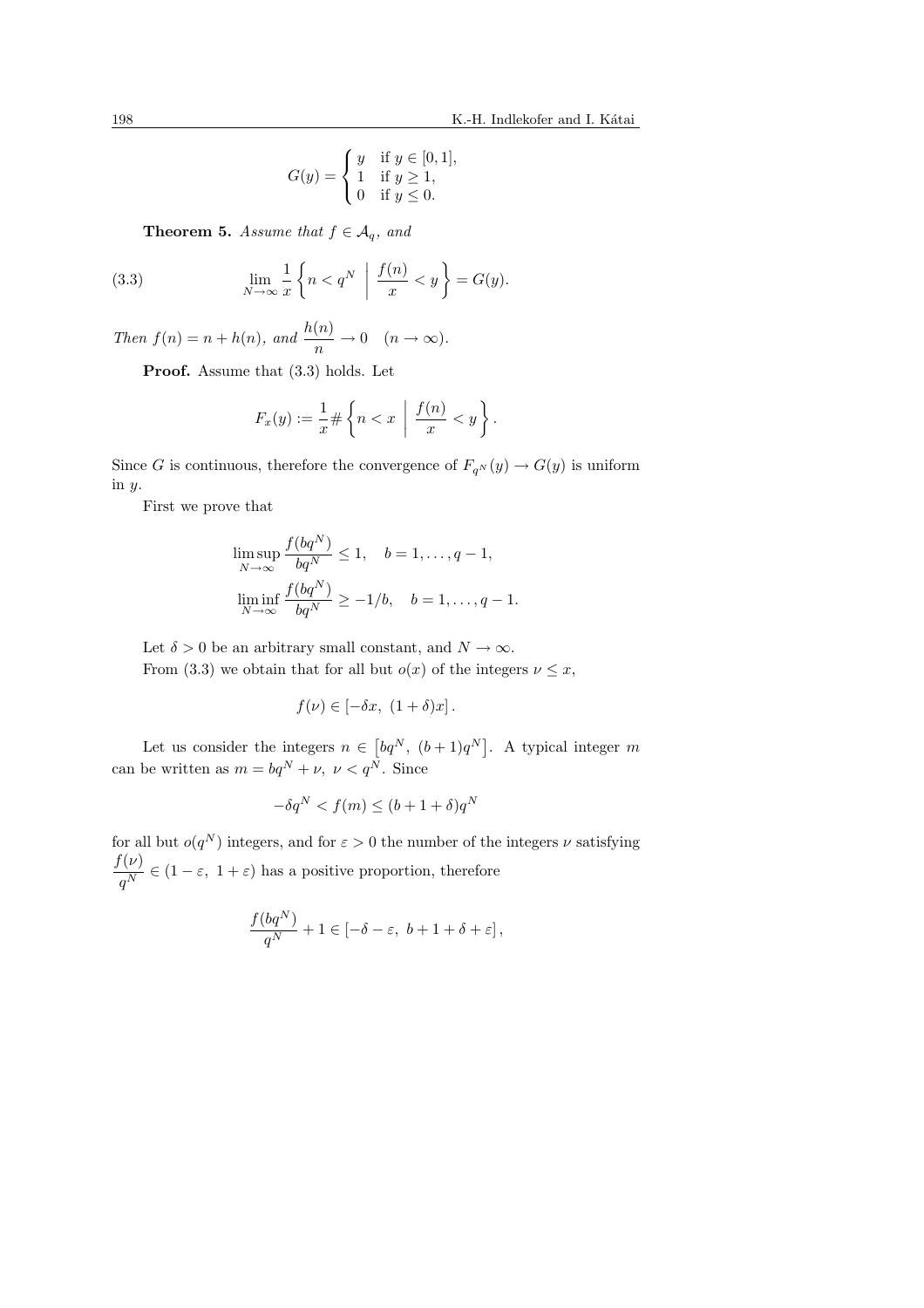$$
G(y) = \begin{cases} y & \text{if } y \in [0, 1], \\ 1 & \text{if } y \ge 1, \\ 0 & \text{if } y \le 0. \end{cases}
$$

**Theorem 5.** Assume that  $f \in A_q$ , and

(3.3) 
$$
\lim_{N \to \infty} \frac{1}{x} \left\{ n < q^N \mid \frac{f(n)}{x} < y \right\} = G(y).
$$

Then  $f(n) = n + h(n)$ , and  $\frac{h(n)}{n} \to 0 \quad (n \to \infty)$ .

Proof. Assume that  $(3.3)$  holds. Let

$$
F_x(y) := \frac{1}{x} \# \left\{ n < x \mid \frac{f(n)}{x} < y \right\}.
$$

Since G is continuous, therefore the convergence of  $F_{q^N}(y) \to G(y)$  is uniform in y.

First we prove that

$$
\limsup_{N \to \infty} \frac{f(bq^N)}{bq^N} \le 1, \quad b = 1, \dots, q - 1,
$$
  

$$
\liminf_{N \to \infty} \frac{f(bq^N)}{bq^N} \ge -1/b, \quad b = 1, \dots, q - 1.
$$

Let  $\delta > 0$  be an arbitrary small constant, and  $N \to \infty$ . From (3.3) we obtain that for all but  $o(x)$  of the integers  $\nu \leq x$ ,

$$
f(\nu) \in [-\delta x, (1+\delta)x].
$$

Let us consider the integers  $n \in$  $\left[ bq^N, (b+1)q^N \right]$ . A typical integer m can be written as  $m = bq^N + \nu, \ \nu < q^N$ . Since

$$
-\delta q^N < f(m) \le (b+1+\delta)q^N
$$

for all but  $o(q^N)$  integers, and for  $\varepsilon > 0$  the number of the integers  $\nu$  satisfying  $f(\nu)$  $\frac{\zeta^{(p)}}{q^N} \in (1 - \varepsilon, 1 + \varepsilon)$  has a positive proportion, therefore

$$
\frac{f(bq^N)}{q^N} + 1 \in [-\delta - \varepsilon, \ b + 1 + \delta + \varepsilon],
$$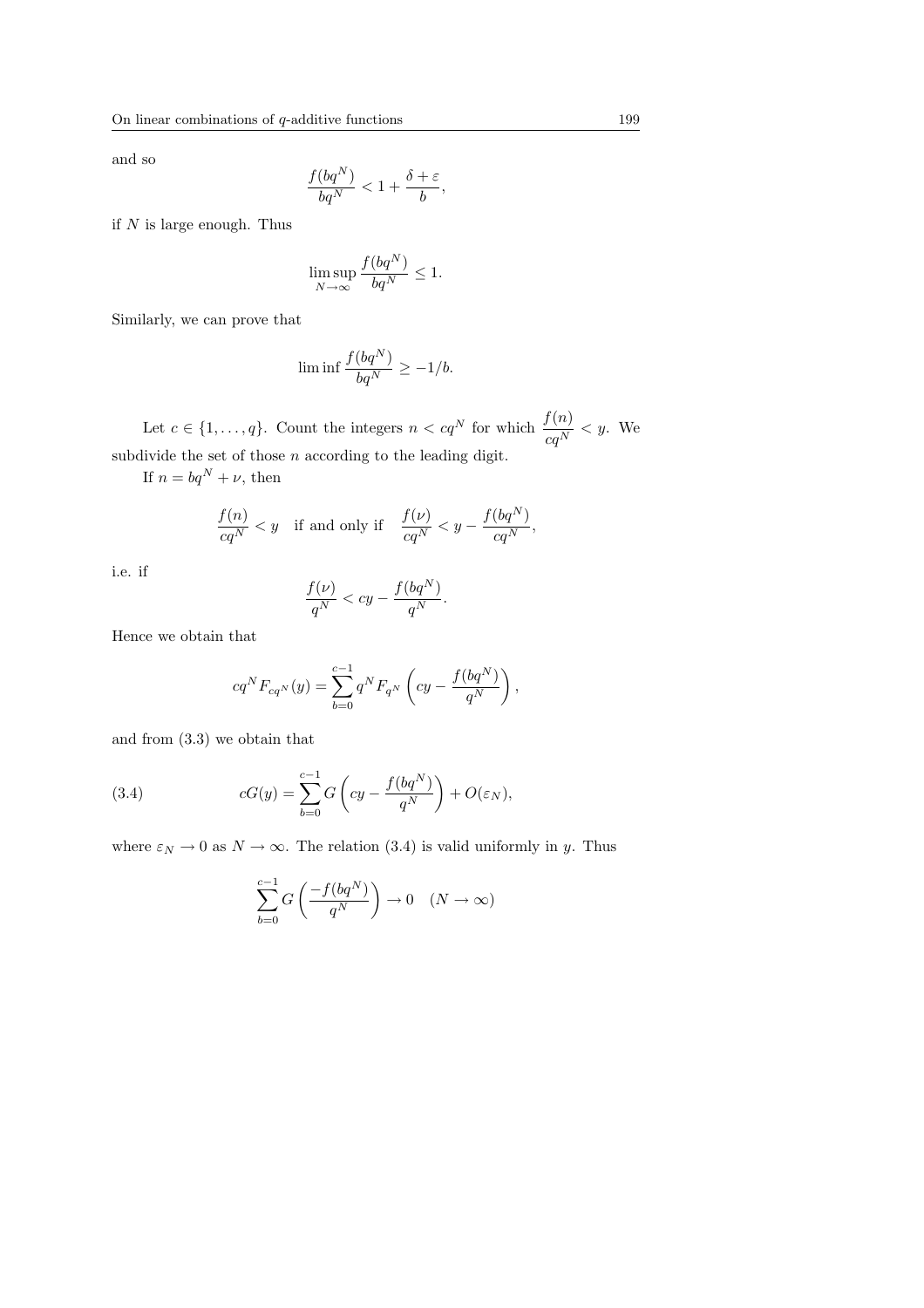and so

$$
\frac{f(bq^N)}{bq^N} < 1 + \frac{\delta + \varepsilon}{b},
$$

if  $N$  is large enough. Thus

$$
\limsup_{N \to \infty} \frac{f(bq^N)}{bq^N} \le 1.
$$

Similarly, we can prove that

$$
\liminf \frac{f(bq^N)}{bq^N} \ge -1/b.
$$

Let  $c \in \{1, ..., q\}$ . Count the integers  $n < cq^N$  for which  $\frac{f(n)}{cq^N} < y$ . We subdivide the set of those  $n$  according to the leading digit.

If  $n = bq^N + \nu$ , then

$$
\frac{f(n)}{cq^N} < y \quad \text{if and only if} \quad \frac{f(\nu)}{cq^N} < y - \frac{f(bq^N)}{cq^N},
$$

i.e. if

$$
\frac{f(\nu)}{q^N} < cy - \frac{f(bq^N)}{q^N}.
$$

Hence we obtain that

$$
cq^{N}F_{cq^{N}}(y) = \sum_{b=0}^{c-1} q^{N} F_{q^{N}} \left( cy - \frac{f(bq^{N})}{q^{N}} \right),
$$

and from (3.3) we obtain that

(3.4) 
$$
cG(y) = \sum_{b=0}^{c-1} G\left(cy - \frac{f(bq^N)}{q^N}\right) + O(\varepsilon_N),
$$

where  $\varepsilon_N \to 0$  as  $N \to \infty$ . The relation (3.4) is valid uniformly in y. Thus

$$
\sum_{b=0}^{c-1} G\left(\frac{-f(bq^N)}{q^N}\right) \to 0 \quad (N \to \infty)
$$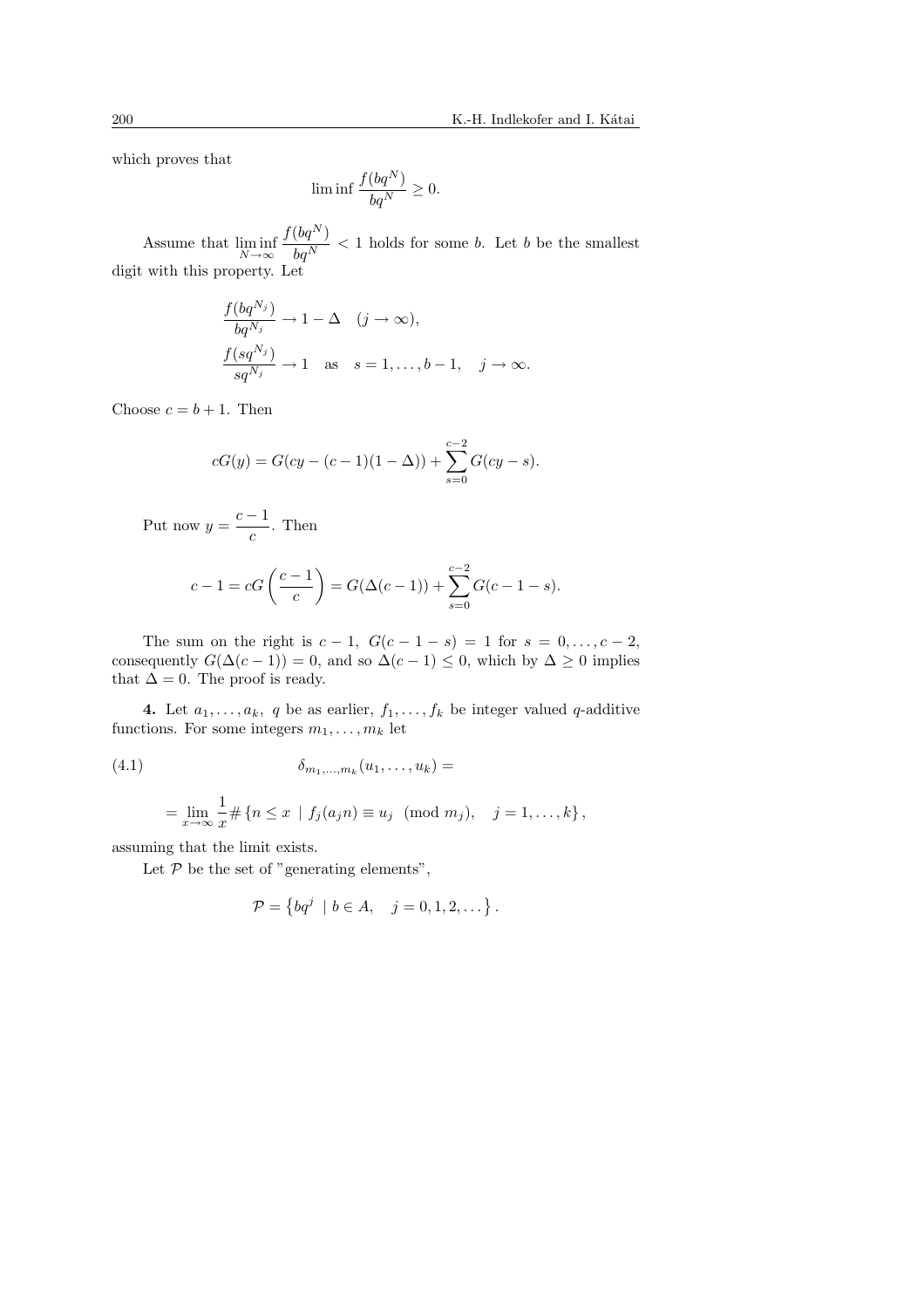which proves that

$$
\liminf \frac{f(bq^N)}{bq^N} \ge 0.
$$

Assume that  $\liminf_{N\to\infty}$  $f(bq^N)$  $\frac{\sqrt{q}}{bq^N}$  < 1 holds for some b. Let b be the smallest digit with this property. Let

$$
\frac{f(bq^{N_j})}{bq^{N_j}} \to 1 - \Delta \quad (j \to \infty),
$$
  

$$
\frac{f(sq^{N_j})}{sq^{N_j}} \to 1 \quad \text{as} \quad s = 1, \dots, b-1, \quad j \to \infty.
$$

Choose  $c = b + 1$ . Then

$$
cG(y) = G(cy - (c-1)(1 - \Delta)) + \sum_{s=0}^{c-2} G(cy - s).
$$

Put now  $y = \frac{c-1}{c}$  $\frac{1}{c}$ . Then

$$
c - 1 = cG\left(\frac{c - 1}{c}\right) = G(\Delta(c - 1)) + \sum_{s = 0}^{c - 2} G(c - 1 - s).
$$

The sum on the right is  $c - 1$ ,  $G(c - 1 - s) = 1$  for  $s = 0, ..., c - 2$ , consequently  $G(\Delta(c-1)) = 0$ , and so  $\Delta(c-1) \leq 0$ , which by  $\Delta \geq 0$  implies that  $\Delta = 0$ . The proof is ready.

4. Let  $a_1, \ldots, a_k$ , q be as earlier,  $f_1, \ldots, f_k$  be integer valued q-additive functions. For some integers  $m_1, \ldots, m_k$  let

$$
(4.1) \qquad \delta_{m_1,\ldots,m_k}(u_1,\ldots,u_k) =
$$

$$
= \lim_{x \to \infty} \frac{1}{x} \# \{ n \leq x \mid f_j(a_j n) \equiv u_j \pmod{m_j}, \quad j = 1, ..., k \},
$$

assuming that the limit exists.

Let  $P$  be the set of "generating elements",

$$
\mathcal{P} = \left\{ bq^j \mid b \in A, \quad j = 0, 1, 2, \dots \right\}.
$$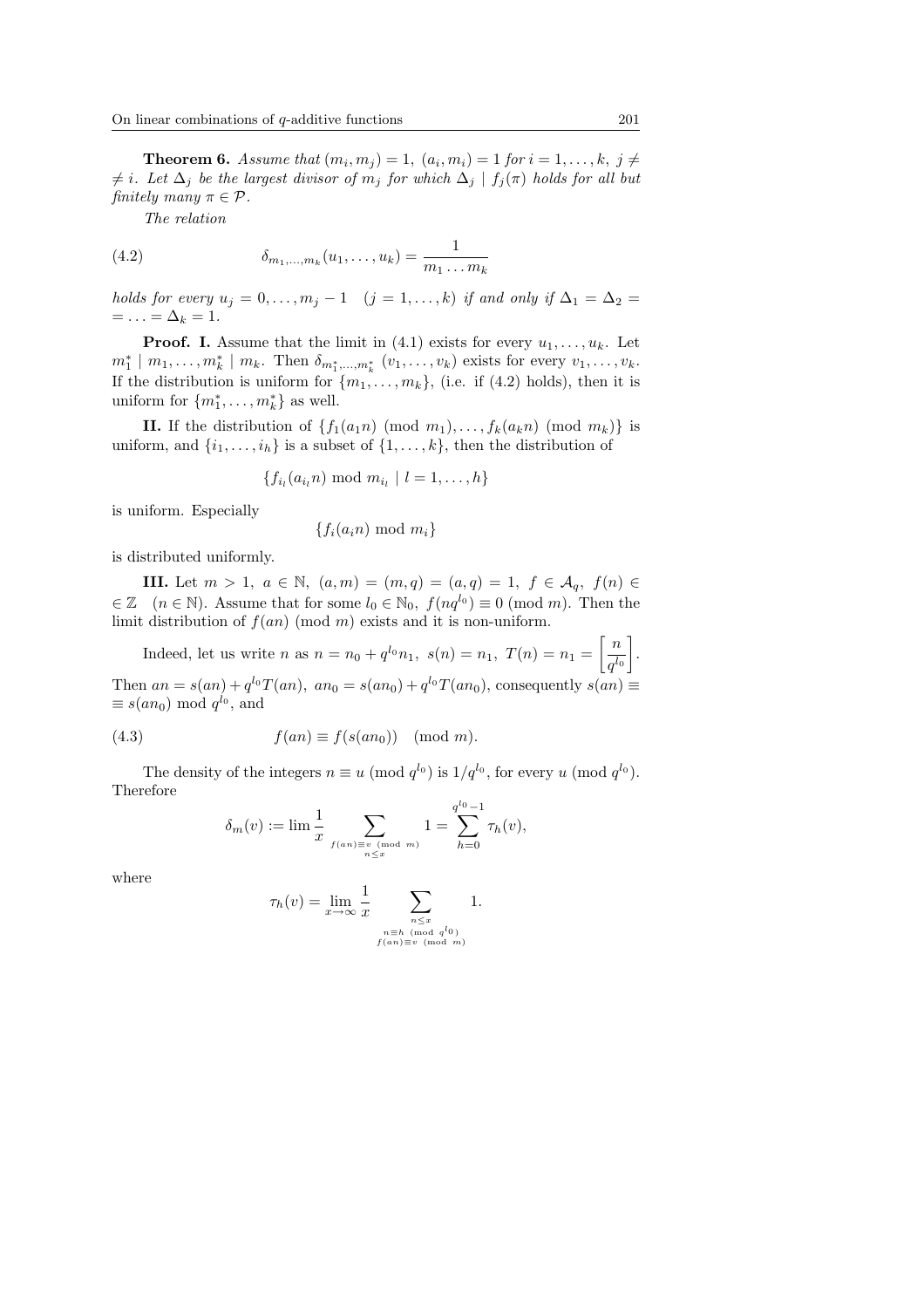**Theorem 6.** Assume that  $(m_i, m_j) = 1$ ,  $(a_i, m_i) = 1$  for  $i = 1, ..., k$ ,  $j \neq j$  $\neq i$ . Let  $\Delta_j$  be the largest divisor of  $m_j$  for which  $\Delta_j \mid f_j(\pi)$  holds for all but finitely many  $\pi \in \mathcal{P}$ .

The relation

(4.2) 
$$
\delta_{m_1,...,m_k}(u_1,...,u_k) = \frac{1}{m_1...m_k}
$$

holds for every  $u_j = 0, \ldots, m_j - 1$   $(j = 1, \ldots, k)$  if and only if  $\Delta_1 = \Delta_2 =$  $= \ldots = \Delta_k = 1.$ 

**Proof.** I. Assume that the limit in (4.1) exists for every  $u_1, \ldots, u_k$ . Let  $m_1^* \mid m_1, \ldots, m_k^* \mid m_k$ . Then  $\delta_{m_1^*, \ldots, m_k^*} (v_1, \ldots, v_k)$  exists for every  $v_1, \ldots, v_k$ . If the distribution is uniform for  $\{m_1, \ldots, m_k\}$ , (i.e. if (4.2) holds), then it is uniform for  $\{m_1^*, \ldots, m_k^*\}$  as well.

II. If the distribution of  $\{f_1(a_1n) \pmod{m_1}, \ldots, f_k(a_kn) \pmod{m_k}\}$  is uniform, and  $\{i_1, \ldots, i_h\}$  is a subset of  $\{1, \ldots, k\}$ , then the distribution of

 $\{f_{i_l}(a_{i_l} n) \text{ mod } m_{i_l} \mid l = 1, \ldots, h\}$ 

is uniform. Especially

$$
\{f_i(a_in) \bmod m_i\}
$$

is distributed uniformly.

**III.** Let  $m > 1$ ,  $a \in \mathbb{N}$ ,  $(a, m) = (m, q) = (a, q) = 1$ ,  $f \in \mathcal{A}_q$ ,  $f(n) \in$  $\in \mathbb{Z}$   $(n \in \mathbb{N})$ . Assume that for some  $l_0 \in \mathbb{N}_0$ ,  $f(nq^{l_0}) \equiv 0 \pmod{m}$ . Then the limit distribution of  $f(an)$  (mod m) exists and it is non-uniform.  $\overline{a}$ 

Indeed, let us write *n* as  $n = n_0 + q^{l_0} n_1$ ,  $s(n) = n_1$ ,  $T(n) = n_1$  $\lceil n \rceil$  $q^{l_0}$ . Then  $an = s(an) + q^{l_0}T(an)$ ,  $an_0 = s(an_0) + q^{l_0}T(an_0)$ , consequently  $s(an) \equiv$  $\equiv s(an_0) \mod q^{l_0}$ , and

(4.3) 
$$
f(an) \equiv f(s(an_0)) \pmod{m}.
$$

The density of the integers  $n \equiv u \pmod{q^{l_0}}$  is  $1/q^{l_0}$ , for every u (mod  $q^{l_0}$ ). Therefore

$$
\delta_m(v) := \lim \frac{1}{x} \sum_{f(a_n) \equiv v \pmod{m}} 1 = \sum_{h=0}^{q^{l_0} - 1} \tau_h(v),
$$

where

$$
\tau_h(v) = \lim_{x \to \infty} \frac{1}{x} \sum_{\substack{n \le x \\ \text{if } (and \ q^{l_0}) \\ f(an) \equiv v \pmod{m}}} 1.
$$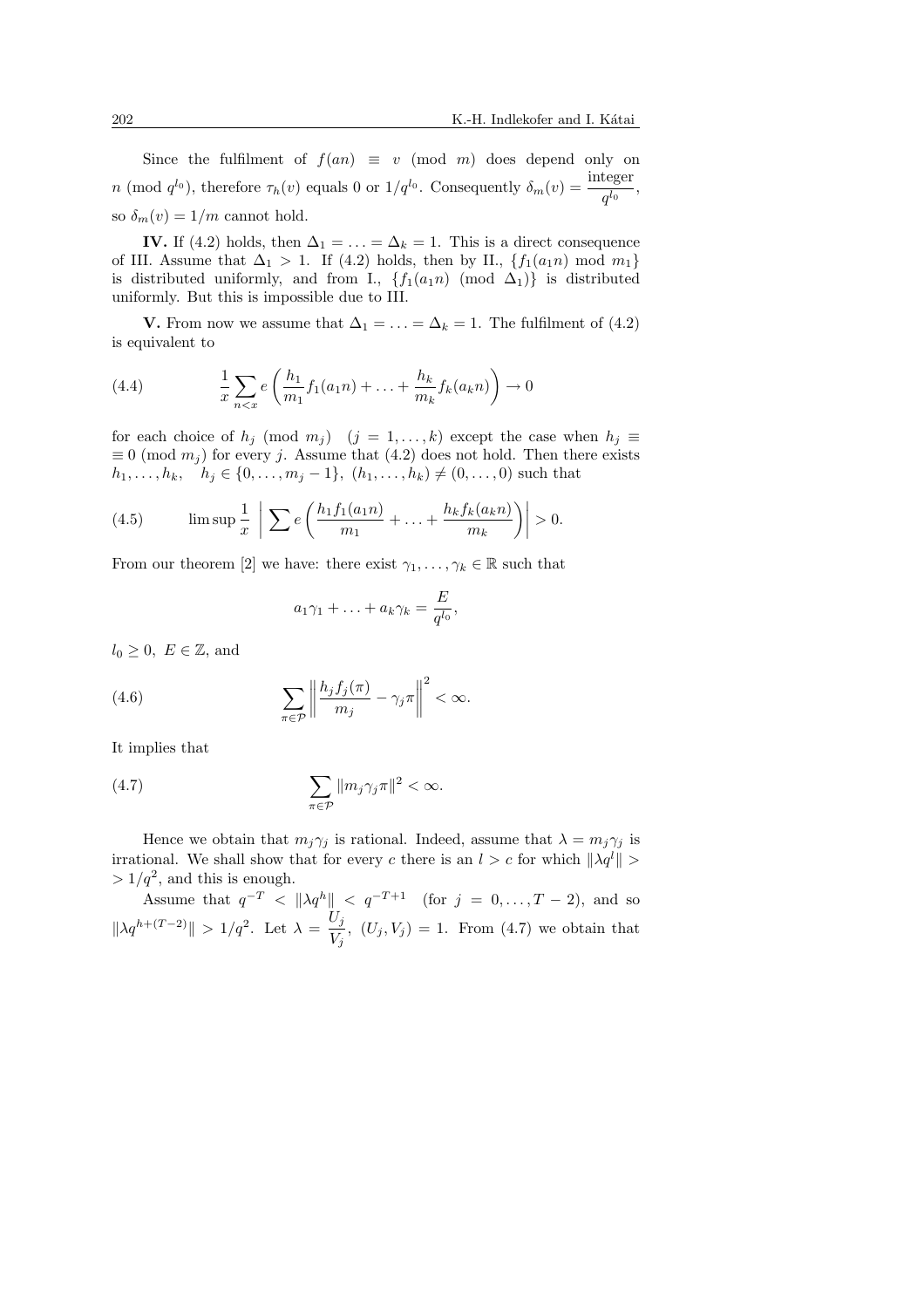Since the fulfilment of  $f(an) \equiv v \pmod{m}$  does depend only on *n* (mod  $q^{l_0}$ ), therefore  $\tau_h(v)$  equals 0 or  $1/q^{l_0}$ . Consequently  $\delta_m(v) = \frac{\text{integer}}{q^{l_0}}$ , so  $\delta_m(v) = 1/m$  cannot hold.

IV. If (4.2) holds, then  $\Delta_1 = \ldots = \Delta_k = 1$ . This is a direct consequence of III. Assume that  $\Delta_1 > 1$ . If (4.2) holds, then by II.,  $\{f_1(a_1n) \mod m_1\}$ is distributed uniformly, and from I.,  $\{f_1(a_1n) \pmod{\Delta_1}\}$  is distributed uniformly. But this is impossible due to III.

**V.** From now we assume that  $\Delta_1 = \ldots = \Delta_k = 1$ . The fulfilment of (4.2) is equivalent to

(4.4) 
$$
\frac{1}{x} \sum_{n < x} e\left(\frac{h_1}{m_1} f_1(a_1 n) + \ldots + \frac{h_k}{m_k} f_k(a_k n)\right) \to 0
$$

for each choice of  $h_j \pmod{m_j}$   $(j = 1, \ldots, k)$  except the case when  $h_j \equiv$  $\equiv 0 \pmod{m_i}$  for every j. Assume that (4.2) does not hold. Then there exists  $h_1, \ldots, h_k, \quad h_j \in \{0, \ldots, m_j - 1\}, \ (h_1, \ldots, h_k) \neq (0, \ldots, 0)$  such that

(4.5) 
$$
\limsup \frac{1}{x} \left| \sum e\left(\frac{h_1 f_1(a_1 n)}{m_1} + \ldots + \frac{h_k f_k(a_k n)}{m_k}\right) \right| > 0.
$$

From our theorem [2] we have: there exist  $\gamma_1, \ldots, \gamma_k \in \mathbb{R}$  such that

$$
a_1\gamma_1 + \ldots + a_k\gamma_k = \frac{E}{q^{l_0}},
$$

 $l_0 \geq 0$ ,  $E \in \mathbb{Z}$ , and

(4.6) 
$$
\sum_{\pi \in \mathcal{P}} \left\| \frac{h_j f_j(\pi)}{m_j} - \gamma_j \pi \right\|^2 < \infty.
$$

It implies that

(4.7) 
$$
\sum_{\pi \in \mathcal{P}} ||m_j \gamma_j \pi||^2 < \infty.
$$

Hence we obtain that  $m_j \gamma_j$  is rational. Indeed, assume that  $\lambda = m_j \gamma_j$  is irrational. We shall show that for every c there is an  $l > c$  for which  $\|\lambda q^l\| >$  $> 1/q^2$ , and this is enough.

Assume that  $q^{-T} < ||\lambda q^{h}|| < q^{-T+1}$  (for  $j = 0, \ldots, T-2$ ), and so  $\|\lambda q^{h+(T-2)}\| > 1/q^2$ . Let  $\lambda = \frac{U_j}{H}$  $\frac{\partial^j}{\partial V_j}$ ,  $(U_j, V_j) = 1$ . From (4.7) we obtain that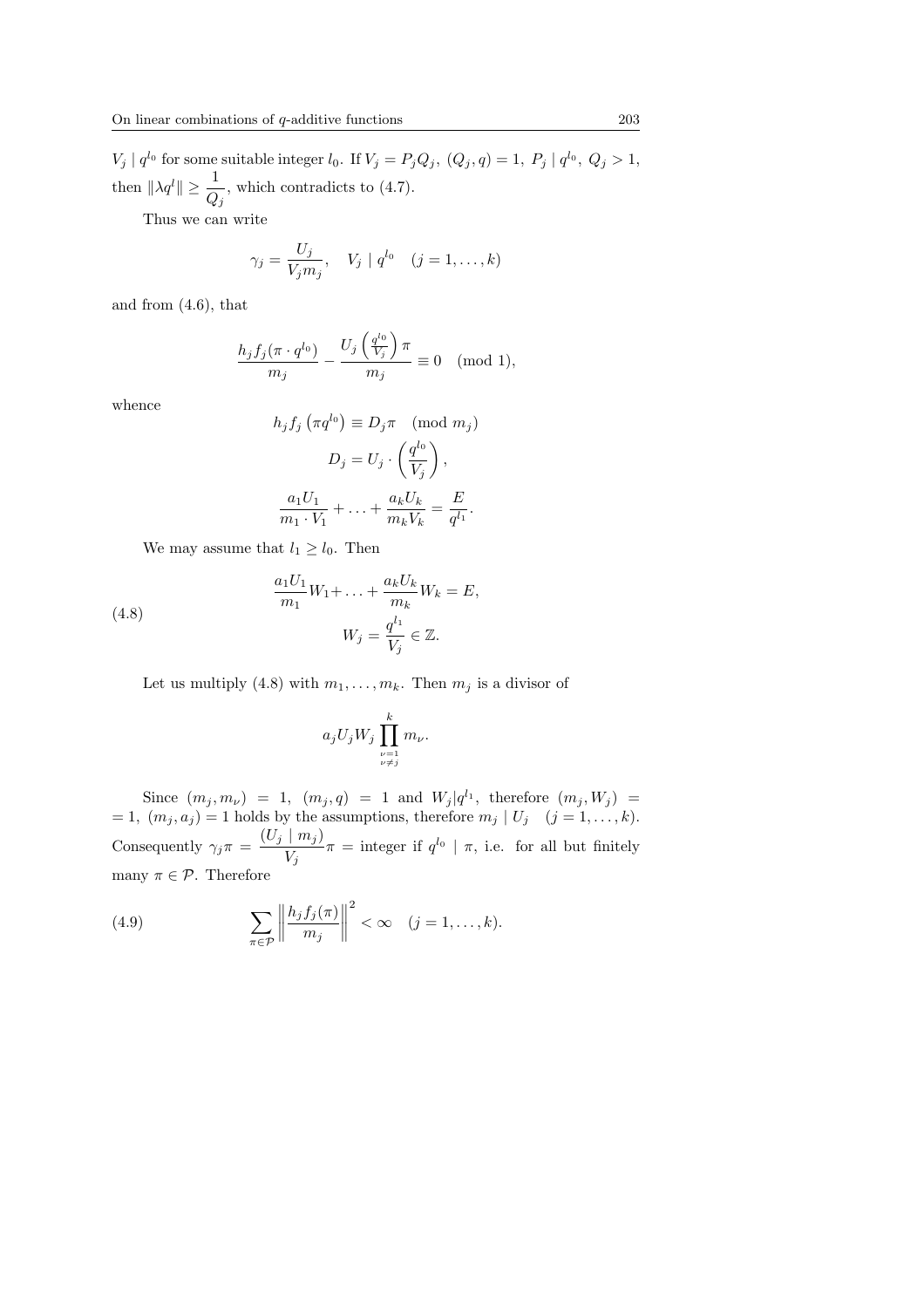$V_j | q^{l_0}$  for some suitable integer  $l_0$ . If  $V_j = P_j Q_j$ ,  $(Q_j, q) = 1$ ,  $P_j | q^{l_0}$ ,  $Q_j > 1$ , then  $\|\lambda q^{l}\| \geq \frac{1}{Q_j}$ , which contradicts to (4.7).

Thus we can write

$$
\gamma_j = \frac{U_j}{V_j m_j}, \quad V_j \mid q^{l_0} \quad (j = 1, \dots, k)
$$

and from (4.6), that

$$
\frac{h_j f_j(\pi \cdot q^{l_0})}{m_j} - \frac{U_j\left(\frac{q^{l_0}}{V_j}\right) \pi}{m_j} \equiv 0 \pmod{1},
$$

whence

$$
h_j f_j \left( \pi q^{l_0} \right) \equiv D_j \pi \pmod{m_j}
$$

$$
D_j = U_j \cdot \left( \frac{q^{l_0}}{V_j} \right),
$$

$$
\frac{a_1 U_1}{m_1 \cdot V_1} + \ldots + \frac{a_k U_k}{m_k V_k} = \frac{E}{q^{l_1}}.
$$

We may assume that  $l_1 \geq l_0$ . Then

(4.8) 
$$
\frac{a_1 U_1}{m_1} W_1 + \dots + \frac{a_k U_k}{m_k} W_k = E,
$$

$$
W_j = \frac{q^{l_1}}{V_j} \in \mathbb{Z}.
$$

Let us multiply (4.8) with  $m_1, \ldots, m_k$ . Then  $m_j$  is a divisor of

$$
a_jU_jW_j\prod_{\substack{\nu=1 \\\nu\neq j}}^k m_\nu.
$$

Since  $(m_j, m_\nu) = 1$ ,  $(m_j, q) = 1$  and  $W_j | q^{l_1}$ , therefore  $(m_j, W_j) =$  $= 1, (m_j, a_j) = 1$  holds by the assumptions, therefore  $m_j | U_j (j = 1, \ldots, k)$ . Consequently  $\gamma_j \pi = \frac{(U_j \mid m_j)}{V}$  $\frac{m_j}{V_j}\pi$  = integer if  $q^{l_0} | \pi$ , i.e. for all but finitely many  $\pi \in \mathcal{P}$ . Therefore

(4.9) 
$$
\sum_{\pi \in \mathcal{P}} \left\| \frac{h_j f_j(\pi)}{m_j} \right\|^2 < \infty \quad (j = 1, \dots, k).
$$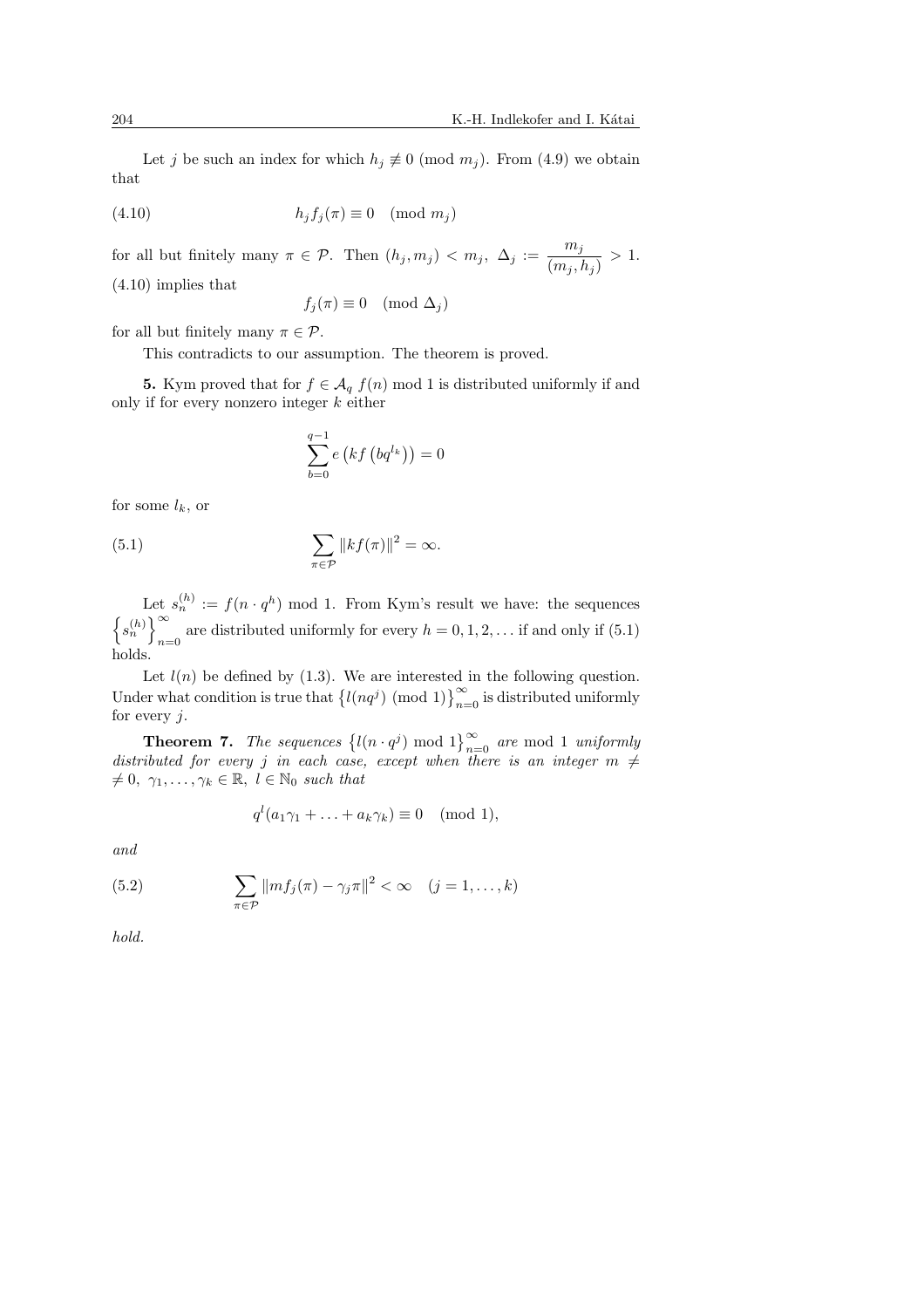Let j be such an index for which  $h_j \not\equiv 0 \pmod{m_j}$ . From (4.9) we obtain that

(4.10) hjf<sup>j</sup> (π) ≡ 0 (mod m<sup>j</sup> )

for all but finitely many  $\pi \in \mathcal{P}$ . Then  $(h_j, m_j) < m_j$ ,  $\Delta_j := \frac{m_j}{\sqrt{m_j}}$  $\frac{m_j}{(m_j,h_j)} > 1.$ (4.10) implies that

$$
f_j(\pi) \equiv 0 \pmod{\Delta_j}
$$

for all but finitely many  $\pi \in \mathcal{P}$ .

This contradicts to our assumption. The theorem is proved.

5. Kym proved that for  $f \in \mathcal{A}_q$   $f(n)$  mod 1 is distributed uniformly if and only if for every nonzero integer  $k$  either

$$
\sum_{b=0}^{q-1} e\left(kf\left(bq^{l_k}\right)\right) = 0
$$

for some  $l_k$ , or

(5.1) 
$$
\sum_{\pi \in \mathcal{P}} ||kf(\pi)||^2 = \infty.
$$

Let  $s_n^{(h)} := f(n \cdot q^h) \mod 1$ . From Kym's result we have: the sequences n  $s_n^{(h)}$ ט⊃<br>ס∖ are distributed uniformly for every  $h = 0, 1, 2, \dots$  if and only if (5.1) holds.

Let  $l(n)$  be defined by (1.3). We are interested in the following question. Let  $\ell(n)$  be defined by (1.3). We are interested in the following question.<br>Under what condition is true that  $\left\{l(nq^j) \pmod{1}\right\}_{n=0}^{\infty}$  is distributed uniformly for every  $j$ .

**Theorem 7.** The sequences  $\{l(n \cdot q^j) \mod 1\}_{n=0}^{\infty}$  are mod 1 uniformly distributed for every j in each case, except when there is an integer  $m \neq$  $\neq 0, \ \gamma_1, \ldots, \gamma_k \in \mathbb{R}, \ l \in \mathbb{N}_0 \ \text{such that}$ 

$$
q^{l}(a_1\gamma_1 + \ldots + a_k\gamma_k) \equiv 0 \pmod{1},
$$

and

(5.2) 
$$
\sum_{\pi \in \mathcal{P}} ||mf_j(\pi) - \gamma_j \pi||^2 < \infty \quad (j = 1, ..., k)
$$

hold.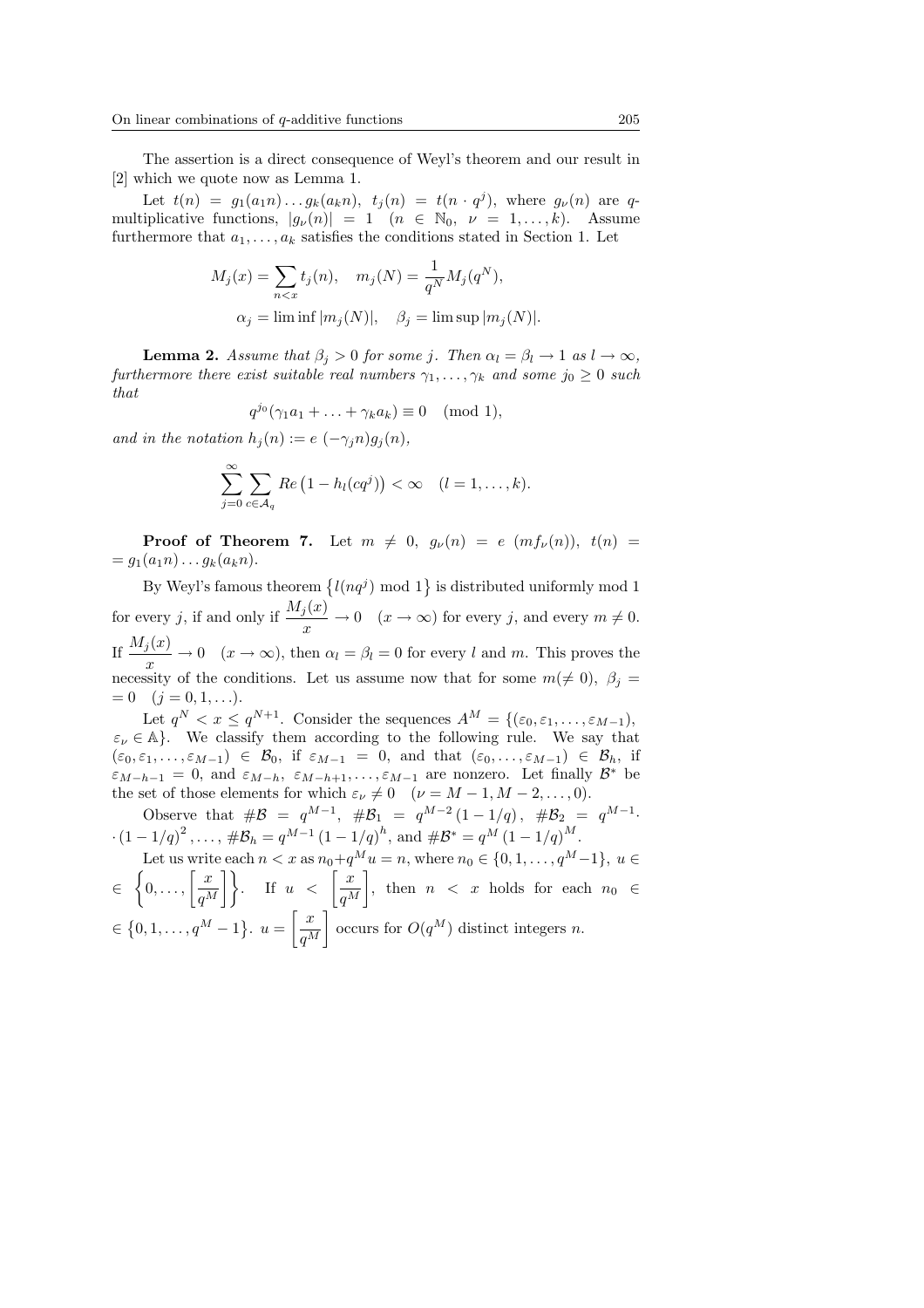The assertion is a direct consequence of Weyl's theorem and our result in [2] which we quote now as Lemma 1.

Let  $t(n) = g_1(a_1 n) \dots g_k(a_k n)$ ,  $t_j(n) = t(n \cdot q^j)$ , where  $g_{\nu}(n)$  are qmultiplicative functions,  $|g_{\nu}(n)| = 1$   $(n \in \mathbb{N}_0, \nu = 1, \ldots, k)$ . Assume furthermore that  $a_1, \ldots, a_k$  satisfies the conditions stated in Section 1. Let

$$
M_j(x) = \sum_{n < x} t_j(n), \quad m_j(N) = \frac{1}{q^N} M_j(q^N),
$$
\n
$$
\alpha_j = \liminf |m_j(N)|, \quad \beta_j = \limsup |m_j(N)|.
$$

**Lemma 2.** Assume that  $\beta_i > 0$  for some j. Then  $\alpha_l = \beta_l \rightarrow 1$  as  $l \rightarrow \infty$ , furthermore there exist suitable real numbers  $\gamma_1, \ldots, \gamma_k$  and some  $j_0 \geq 0$  such that

$$
q^{j_0}(\gamma_1 a_1 + \ldots + \gamma_k a_k) \equiv 0 \pmod{1},
$$

and in the notation  $h_i(n) := e(-\gamma_i n)g_i(n)$ ,

$$
\sum_{j=0}^{\infty} \sum_{c \in \mathcal{A}_q} Re\left(1 - h_l(cq^j)\right) < \infty \quad (l = 1, \dots, k).
$$

**Proof of Theorem 7.** Let  $m \neq 0$ ,  $g_{\nu}(n) = e (mf_{\nu}(n))$ ,  $t(n) =$  $= g_1(a_1n) \dots g_k(a_kn).$ 

By Weyl's famous theorem  $\{l(nq^j) \mod 1\}$  is distributed uniformly mod 1 for every j, if and only if  $\frac{M_j(x)}{x} \to 0 \quad (x \to \infty)$  for every j, and every  $m \neq 0$ . If  $\frac{M_j(x)}{x} \to 0 \quad (x \to \infty)$ , then  $\alpha_l = \beta_l = 0$  for every l and m. This proves the necessity of the conditions. Let us assume now that for some  $m(\neq 0)$ ,  $\beta_j =$  $= 0 \quad (j = 0, 1, \ldots).$ 

Let  $q^N < x \le q^{N+1}$ . Consider the sequences  $A^M = \{(\varepsilon_0, \varepsilon_1, \ldots, \varepsilon_{M-1}),$  $\varepsilon_{\nu} \in \mathbb{A}$ . We classify them according to the following rule. We say that  $(\varepsilon_0, \varepsilon_1, \ldots, \varepsilon_{M-1}) \in \mathcal{B}_0$ , if  $\varepsilon_{M-1} = 0$ , and that  $(\varepsilon_0, \ldots, \varepsilon_{M-1}) \in \mathcal{B}_h$ , if  $\varepsilon_{M-h-1} = 0$ , and  $\varepsilon_{M-h}$ ,  $\varepsilon_{M-h+1}, \ldots, \varepsilon_{M-1}$  are nonzero. Let finally  $\mathcal{B}^*$  be the set of those elements for which  $\varepsilon_{\nu} \neq 0 \quad (\nu = M - 1, M - 2, \dots, 0).$ 

Observe that  $\#\mathcal{B} = q^{M-1}$ ,  $\#\mathcal{B}_1 = q^{M-2} (1 - 1/q)$ ,  $\#\mathcal{B}_2 = q^{M-1}$ .  $\cdot (1 - 1/q)^2, \ldots, \# \mathcal{B}_h = q^{M-1} (1 - 1/q)^h, \text{ and } \# \mathcal{B}^* = q^M (1 - 1/q)^M.$ 

Let us write each 
$$
n < x
$$
 as  $n_0 + q^M u = n$ , where  $n_0 \in \{0, 1, ..., q^M - 1\}$ ,  $u \in$   
\n $\in \{0, ..., \left[\frac{x}{q^M}\right]\}$ . If  $u < \left[\frac{x}{q^M}\right]$ , then  $n < x$  holds for each  $n_0 \in$   
\n $\in \{0, 1, ..., q^M - 1\}$ .  $u = \left[\frac{x}{q^M}\right]$  occurs for  $O(q^M)$  distinct integers n.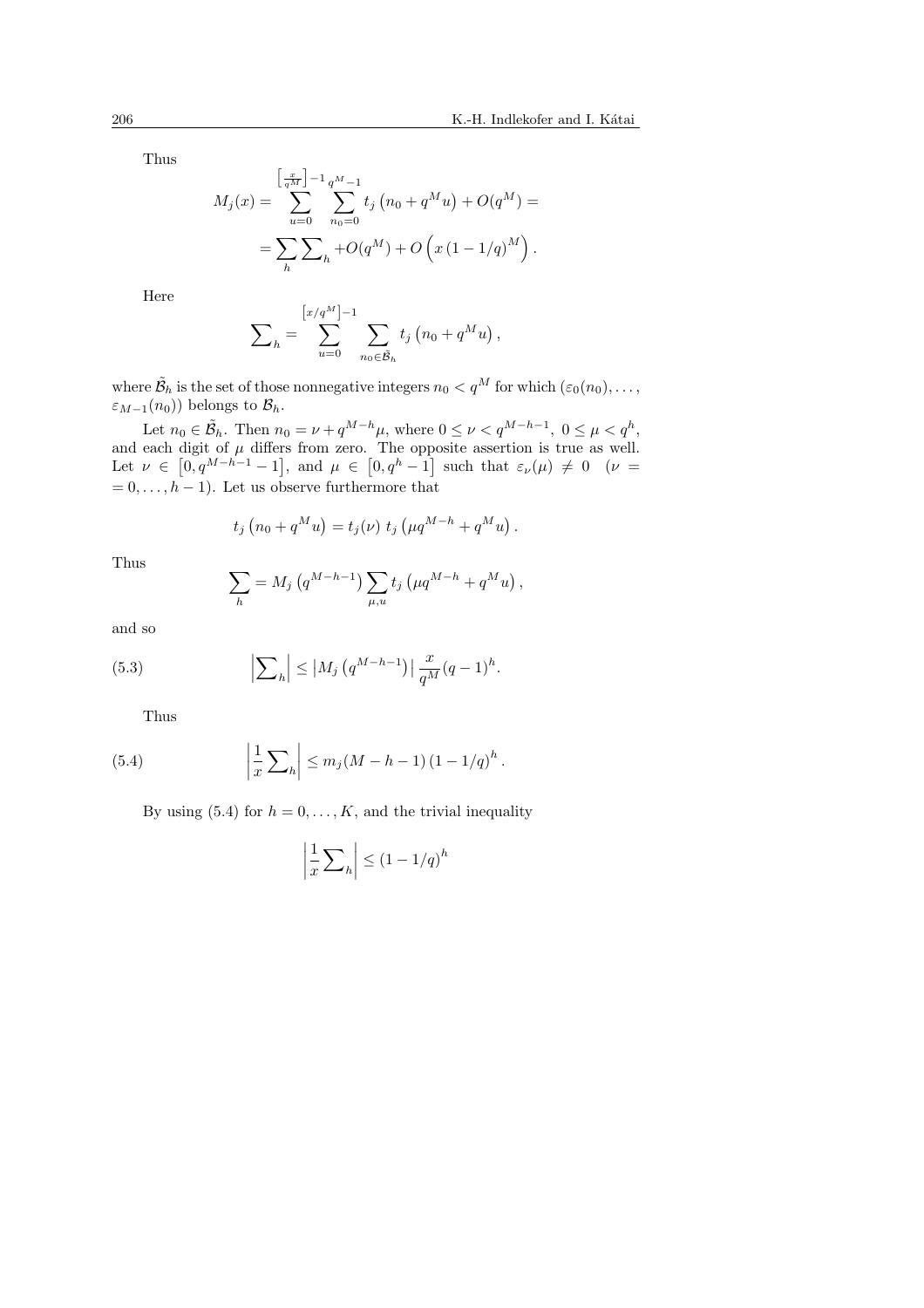Thus

$$
M_j(x) = \sum_{u=0}^{\left[\frac{x}{q^M}\right]-1} \sum_{n_0=0}^{q^M-1} t_j \left(n_0 + q^M u\right) + O(q^M) =
$$
  
= 
$$
\sum_{h} \sum_{h} + O(q^M) + O\left(x\left(1 - 1/q\right)^M\right).
$$

Here

$$
\sum_{h} = \sum_{u=0}^{\left[x/q^M\right]-1} \sum_{n_0 \in \bar{\mathcal{B}}_h} t_j \left(n_0 + q^M u\right),
$$

where  $\tilde{\mathcal{B}}_h$  is the set of those nonnegative integers  $n_0 < q^M$  for which  $(\varepsilon_0(n_0), \ldots,$  $\varepsilon_{M-1}(n_0)$ ) belongs to  $\mathcal{B}_h$ .

Let  $n_0 \in \tilde{\mathcal{B}}_h$ . Then  $n_0 = \nu + q^{M-h} \mu$ , where  $0 \leq \nu < q^{M-h-1}$ ,  $0 \leq \mu < q^h$ , and each digit of  $\mu$  differs from zero. The opposite assertion is true as well. Let  $\nu \in$  $\left[0, q^{M-h-1} - 1\right]$ , and  $\mu \in$  $\begin{bmatrix} 1 \text{ ne opp} \\ 0, q^h - 1 \end{bmatrix}$ such that  $\varepsilon_{\nu}(\mu) \neq 0$  ( $\nu =$  $= 0, \ldots, h - 1$ . Let us observe furthermore that

$$
t_j (n_0 + q^M u) = t_j(\nu) t_j (\mu q^{M-h} + q^M u).
$$

Thus

$$
\sum_{h} = M_{j} (q^{M-h-1}) \sum_{\mu, u} t_{j} (\mu q^{M-h} + q^{M} u) ,
$$

and so

(5.3) 
$$
\left| \sum_{h} \right| \leq |M_j (q^{M-h-1})| \frac{x}{q^M} (q-1)^h.
$$

Thus

(5.4) 
$$
\left| \frac{1}{x} \sum_{h} \right| \le m_j (M - h - 1) (1 - 1/q)^h.
$$

By using (5.4) for  $h = 0, \ldots, K$ , and the trivial inequality

$$
\left|\frac{1}{x}\sum_{h}\right| \leq \left(1 - 1/q\right)^{h}
$$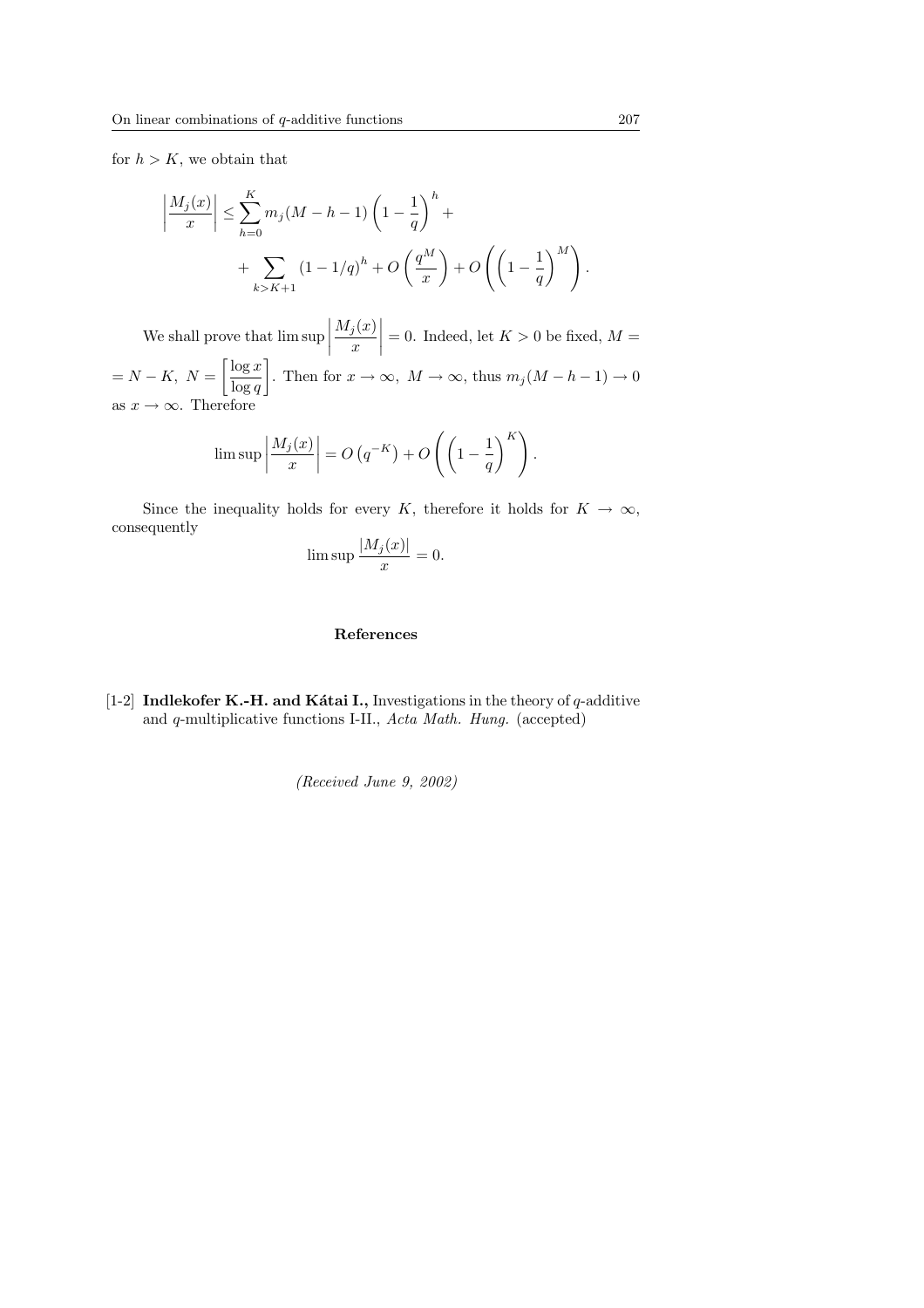for  $h > K$ , we obtain that

$$
\left| \frac{M_j(x)}{x} \right| \le \sum_{h=0}^K m_j(M - h - 1) \left( 1 - \frac{1}{q} \right)^h + \\ + \sum_{k > K+1} (1 - 1/q)^h + O\left(\frac{q^M}{x}\right) + O\left(\left(1 - \frac{1}{q}\right)^M\right).
$$

We shall prove that lim sup  $\begin{array}{c} \begin{array}{c} \begin{array}{c} \end{array} \\ \begin{array}{c} \end{array} \end{array} \end{array}$  $M_j(x)$  $\boldsymbol{x}$ |  $= 0$ . Indeed, let  $K > 0$  be fixed,  $M =$  $= N - K$ ,  $N =$  $\lceil \log x \rceil$  $\log q$  $\overline{a}$ . Then for  $x \to \infty$ ,  $M \to \infty$ , thus  $m_j(M - h - 1) \to 0$ as  $x \to \infty$ . Therefore

$$
\limsup \left| \frac{M_j(x)}{x} \right| = O\left(q^{-K}\right) + O\left(\left(1 - \frac{1}{q}\right)^K\right).
$$

Since the inequality holds for every K, therefore it holds for  $K \to \infty$ , consequently

$$
\limsup \frac{|M_j(x)|}{x} = 0.
$$

## References

[1-2] Indlekofer K.-H. and Kátai I., Investigations in the theory of  $q$ -additive and q-multiplicative functions I-II., Acta Math. Hung. (accepted)

(Received June 9, 2002)